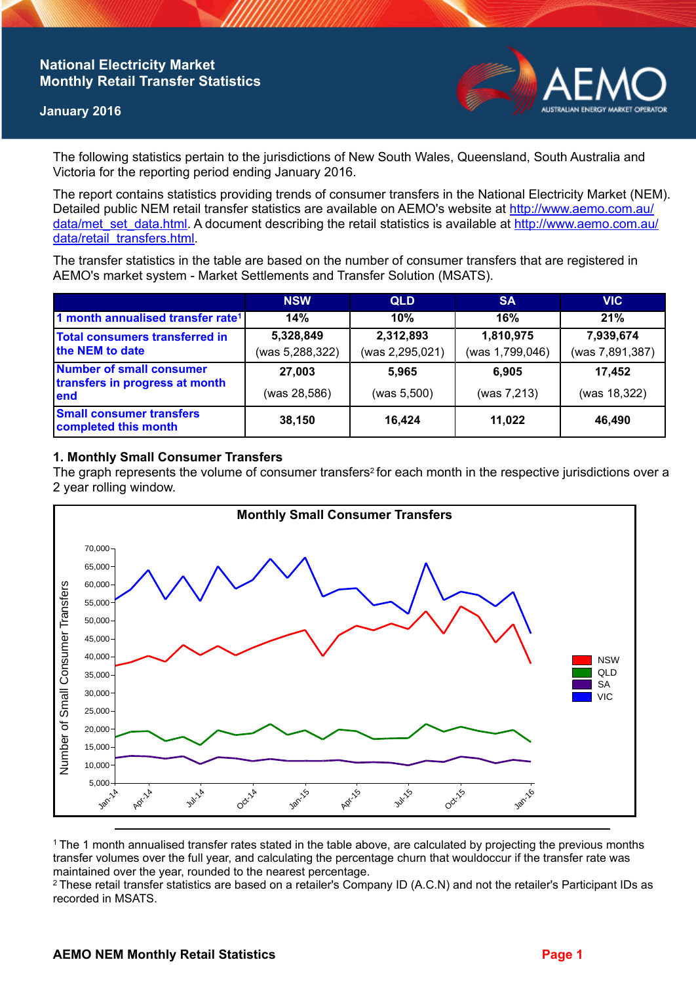## **National Electricity Market Monthly Retail Transfer Statistics**

#### **January 2016**



The following statistics pertain to the jurisdictions of New South Wales, Queensland, South Australia and Victoria for the reporting period ending January 2016.

The report contains statistics providing trends of consumer transfers in the National Electricity Market (NEM). Detailed public NEM retail transfer statistics are available on AEMO's website at [http://www.aemo.com.au/](http://www.aemo.com.au/data/met_set_data.html) [data/met\\_set\\_data.html](http://www.aemo.com.au/data/met_set_data.html). A document describing the retail statistics is available at [http://www.aemo.com.au/](http://www.aemo.com.au/data/retail_transfers.html) [data/retail\\_transfers.html](http://www.aemo.com.au/data/retail_transfers.html).

The transfer statistics in the table are based on the number of consumer transfers that are registered in AEMO's market system - Market Settlements and Transfer Solution (MSATS).

|                                                                           | <b>NSW</b>                   | <b>QLD</b>                   | <b>SA</b>                    | <b>VIC</b>                   |
|---------------------------------------------------------------------------|------------------------------|------------------------------|------------------------------|------------------------------|
| 1 month annualised transfer rate <sup>1</sup>                             | 14%                          | 10%                          | 16%                          | 21%                          |
| Total consumers transferred in<br>the NEM to date                         | 5,328,849<br>(was 5,288,322) | 2,312,893<br>(was 2,295,021) | 1,810,975<br>(was 1,799,046) | 7,939,674<br>(was 7,891,387) |
| <b>Number of small consumer</b><br>transfers in progress at month<br>lend | 27,003                       | 5.965                        | 6.905                        | 17,452                       |
|                                                                           | (was 28,586)                 | (was 5,500)                  | (was 7,213)                  | (was 18,322)                 |
| <b>Small consumer transfers</b><br>completed this month                   | 38,150                       | 16,424                       | 11,022                       | 46,490                       |

### **1. Monthly Small Consumer Transfers**

The graph represents the volume of consumer transfers<sup>2</sup> for each month in the respective jurisdictions over a 2 year rolling window.



<sup>1</sup>The 1 month annualised transfer rates stated in the table above, are calculated by projecting the previous months transfer volumes over the full year, and calculating the percentage churn that wouldoccur if the transfer rate was maintained over the year, rounded to the nearest percentage.

<sup>2</sup> These retail transfer statistics are based on a retailer's Company ID (A.C.N) and not the retailer's Participant IDs as recorded in MSATS.